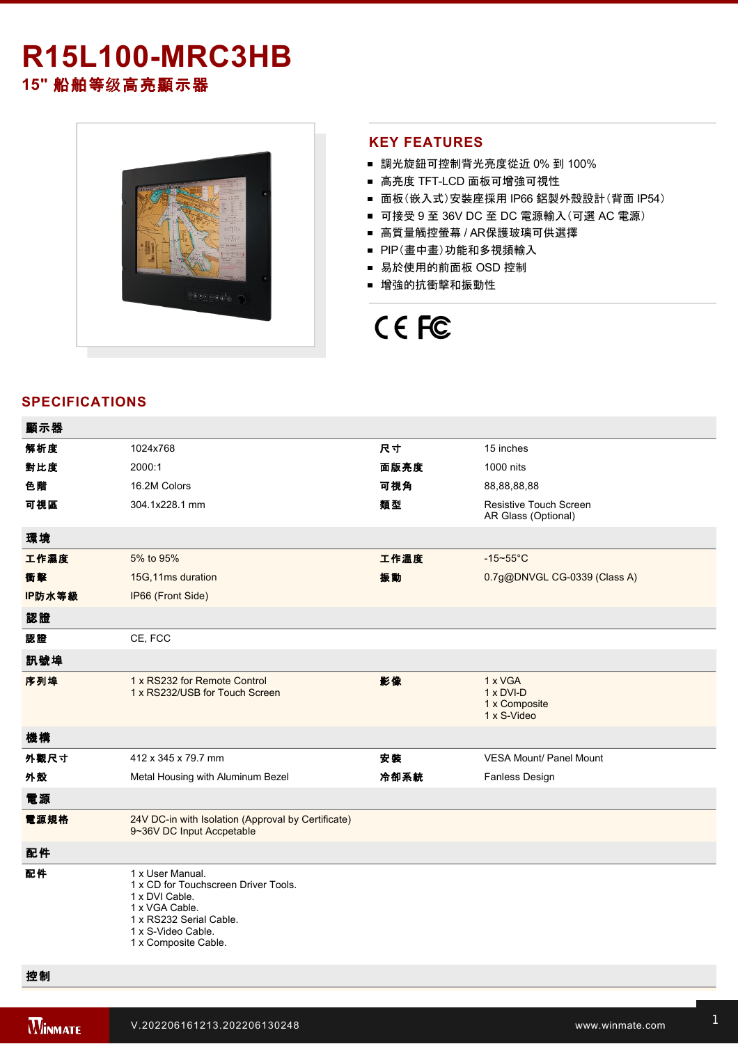# **R15L100-MRC3HB 15"** 船舶等级高亮顯示器



#### **KEY FEATURES**

- 調光旋鈕可控制背光亮度從近 0% 到 100%
- 高亮度 TFT-LCD 面板可增強可視性
- 面板(嵌入式)安裝座採用 IP66 鋁製外殼設計(背面 IP54)
- 可接受 9 至 36V DC 至 DC 電源輸入(可選 AC 電源)
- 高質量觸控螢幕 / AR保護玻璃可供選擇
- PIP(畫中畫)功能和多視頻輸入
- 易於使用的前面板 OSD 控制
- 增強的抗衝擊和振動性

# CE FC

### **SPECIFICATIONS**

| 顯示器    |                                                                                                                                                                       |      |                                                             |
|--------|-----------------------------------------------------------------------------------------------------------------------------------------------------------------------|------|-------------------------------------------------------------|
| 解析度    | 1024x768                                                                                                                                                              | 尺寸   | 15 inches                                                   |
| 對比度    | 2000:1                                                                                                                                                                | 面版亮度 | 1000 nits                                                   |
| 色階     | 16.2M Colors                                                                                                                                                          | 可視角  | 88,88,88,88                                                 |
| 可視區    | 304.1x228.1 mm                                                                                                                                                        | 類型   | <b>Resistive Touch Screen</b><br>AR Glass (Optional)        |
| 環境     |                                                                                                                                                                       |      |                                                             |
| 工作濕度   | 5% to 95%                                                                                                                                                             | 工作溫度 | $-15 - 55$ °C                                               |
| 衝擊     | 15G, 11ms duration                                                                                                                                                    | 振動   | 0.7g@DNVGL CG-0339 (Class A)                                |
| IP防水等級 | IP66 (Front Side)                                                                                                                                                     |      |                                                             |
| 認證     |                                                                                                                                                                       |      |                                                             |
| 認證     | CE, FCC                                                                                                                                                               |      |                                                             |
| 訊號埠    |                                                                                                                                                                       |      |                                                             |
| 序列埠    | 1 x RS232 for Remote Control<br>1 x RS232/USB for Touch Screen                                                                                                        | 影像   | 1 x VGA<br>$1 \times DVI-D$<br>1 x Composite<br>1 x S-Video |
| 機構     |                                                                                                                                                                       |      |                                                             |
| 外觀尺寸   | 412 x 345 x 79.7 mm                                                                                                                                                   | 安装   | <b>VESA Mount/ Panel Mount</b>                              |
| 外殼     | Metal Housing with Aluminum Bezel                                                                                                                                     | 冷卻系統 | <b>Fanless Design</b>                                       |
| 電源     |                                                                                                                                                                       |      |                                                             |
| 電源規格   | 24V DC-in with Isolation (Approval by Certificate)<br>9~36V DC Input Accpetable                                                                                       |      |                                                             |
| 配件     |                                                                                                                                                                       |      |                                                             |
| 配件     | 1 x User Manual.<br>1 x CD for Touchscreen Driver Tools.<br>1 x DVI Cable.<br>1 x VGA Cable.<br>1 x RS232 Serial Cable.<br>1 x S-Video Cable.<br>1 x Composite Cable. |      |                                                             |

控制

Esc/PIP

Right/Source